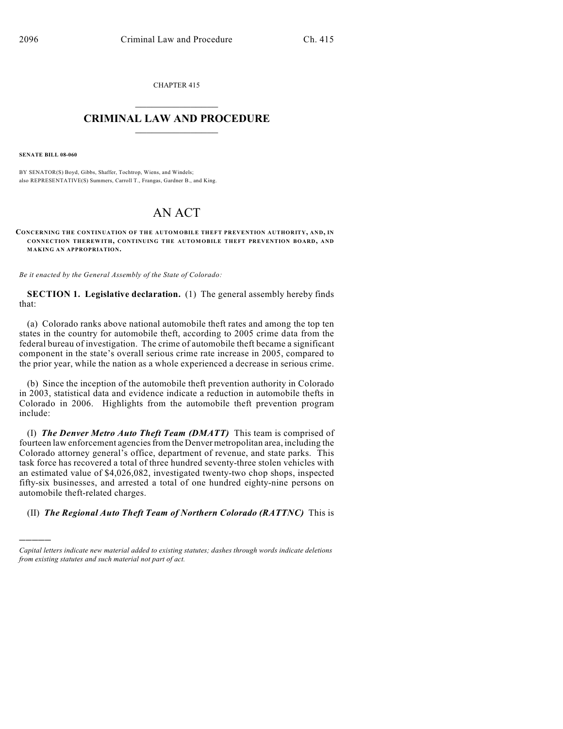CHAPTER 415  $\overline{\phantom{a}}$  . The set of the set of the set of the set of the set of the set of the set of the set of the set of the set of the set of the set of the set of the set of the set of the set of the set of the set of the set o

## **CRIMINAL LAW AND PROCEDURE**  $\frac{1}{2}$  ,  $\frac{1}{2}$  ,  $\frac{1}{2}$  ,  $\frac{1}{2}$  ,  $\frac{1}{2}$  ,  $\frac{1}{2}$  ,  $\frac{1}{2}$

**SENATE BILL 08-060**

)))))

BY SENATOR(S) Boyd, Gibbs, Shaffer, Tochtrop, Wiens, and Windels; also REPRESENTATIVE(S) Summers, Carroll T., Frangas, Gardner B., and King.

## AN ACT

**CONCERNING THE CONTINUATION OF THE AUTOMOBILE THEFT PREVENTION AUTHORITY, AND, IN CONNECTION THEREWITH, CONTINUING THE AUTOM OBILE THEFT PREVENTION BOARD, AND MAKING AN APPROPRIATION.**

*Be it enacted by the General Assembly of the State of Colorado:*

**SECTION 1. Legislative declaration.** (1) The general assembly hereby finds that:

(a) Colorado ranks above national automobile theft rates and among the top ten states in the country for automobile theft, according to 2005 crime data from the federal bureau of investigation. The crime of automobile theft became a significant component in the state's overall serious crime rate increase in 2005, compared to the prior year, while the nation as a whole experienced a decrease in serious crime.

(b) Since the inception of the automobile theft prevention authority in Colorado in 2003, statistical data and evidence indicate a reduction in automobile thefts in Colorado in 2006. Highlights from the automobile theft prevention program include:

(I) *The Denver Metro Auto Theft Team (DMATT)* This team is comprised of fourteen law enforcement agencies from the Denver metropolitan area, including the Colorado attorney general's office, department of revenue, and state parks. This task force has recovered a total of three hundred seventy-three stolen vehicles with an estimated value of \$4,026,082, investigated twenty-two chop shops, inspected fifty-six businesses, and arrested a total of one hundred eighty-nine persons on automobile theft-related charges.

(II) *The Regional Auto Theft Team of Northern Colorado (RATTNC)* This is

*Capital letters indicate new material added to existing statutes; dashes through words indicate deletions from existing statutes and such material not part of act.*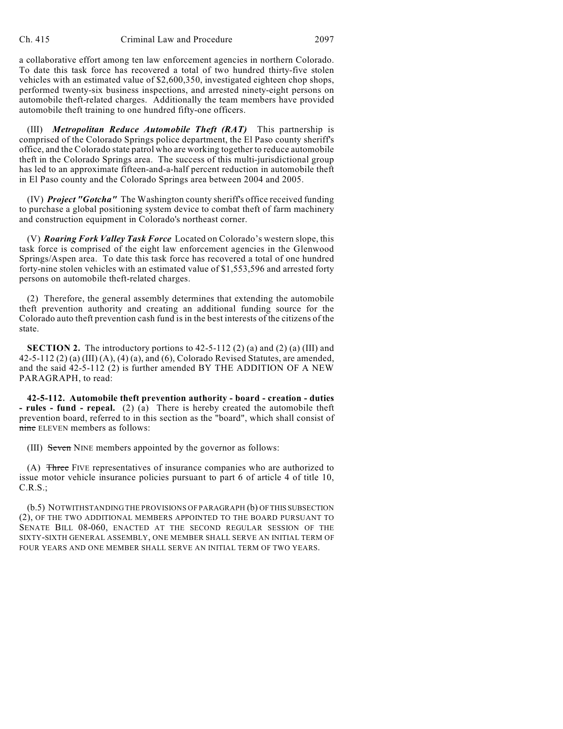a collaborative effort among ten law enforcement agencies in northern Colorado. To date this task force has recovered a total of two hundred thirty-five stolen vehicles with an estimated value of \$2,600,350, investigated eighteen chop shops, performed twenty-six business inspections, and arrested ninety-eight persons on automobile theft-related charges. Additionally the team members have provided automobile theft training to one hundred fifty-one officers.

(III) *Metropolitan Reduce Automobile Theft (RAT)* This partnership is comprised of the Colorado Springs police department, the El Paso county sheriff's office, and the Colorado state patrol who are working together to reduce automobile theft in the Colorado Springs area. The success of this multi-jurisdictional group has led to an approximate fifteen-and-a-half percent reduction in automobile theft in El Paso county and the Colorado Springs area between 2004 and 2005.

(IV) *Project "Gotcha"* The Washington county sheriff's office received funding to purchase a global positioning system device to combat theft of farm machinery and construction equipment in Colorado's northeast corner.

(V) *Roaring Fork Valley Task Force* Located on Colorado's western slope, this task force is comprised of the eight law enforcement agencies in the Glenwood Springs/Aspen area. To date this task force has recovered a total of one hundred forty-nine stolen vehicles with an estimated value of \$1,553,596 and arrested forty persons on automobile theft-related charges.

(2) Therefore, the general assembly determines that extending the automobile theft prevention authority and creating an additional funding source for the Colorado auto theft prevention cash fund is in the best interests of the citizens of the state.

**SECTION 2.** The introductory portions to 42-5-112 (2) (a) and (2) (a) (III) and  $42-5-112$  (2) (a) (III) (A), (4) (a), and (6), Colorado Revised Statutes, are amended, and the said 42-5-112 (2) is further amended BY THE ADDITION OF A NEW PARAGRAPH, to read:

**42-5-112. Automobile theft prevention authority - board - creation - duties - rules - fund - repeal.** (2) (a) There is hereby created the automobile theft prevention board, referred to in this section as the "board", which shall consist of nine ELEVEN members as follows:

(III) Seven NINE members appointed by the governor as follows:

(A) Three FIVE representatives of insurance companies who are authorized to issue motor vehicle insurance policies pursuant to part 6 of article 4 of title 10, C.R.S.;

(b.5) NOTWITHSTANDING THE PROVISIONS OF PARAGRAPH (b) OF THIS SUBSECTION (2), OF THE TWO ADDITIONAL MEMBERS APPOINTED TO THE BOARD PURSUANT TO SENATE BILL 08-060, ENACTED AT THE SECOND REGULAR SESSION OF THE SIXTY-SIXTH GENERAL ASSEMBLY, ONE MEMBER SHALL SERVE AN INITIAL TERM OF FOUR YEARS AND ONE MEMBER SHALL SERVE AN INITIAL TERM OF TWO YEARS.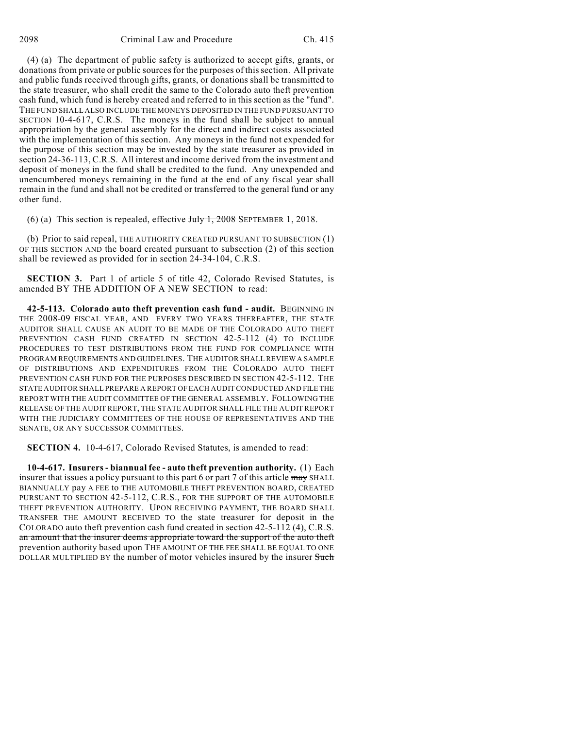(4) (a) The department of public safety is authorized to accept gifts, grants, or donations from private or public sources for the purposes of this section. All private and public funds received through gifts, grants, or donations shall be transmitted to the state treasurer, who shall credit the same to the Colorado auto theft prevention cash fund, which fund is hereby created and referred to in this section as the "fund". THE FUND SHALL ALSO INCLUDE THE MONEYS DEPOSITED IN THE FUND PURSUANT TO SECTION 10-4-617, C.R.S. The moneys in the fund shall be subject to annual appropriation by the general assembly for the direct and indirect costs associated with the implementation of this section. Any moneys in the fund not expended for the purpose of this section may be invested by the state treasurer as provided in section 24-36-113, C.R.S. All interest and income derived from the investment and deposit of moneys in the fund shall be credited to the fund. Any unexpended and unencumbered moneys remaining in the fund at the end of any fiscal year shall remain in the fund and shall not be credited or transferred to the general fund or any other fund.

(6) (a) This section is repealed, effective  $J_{\text{t}}$   $\frac{1}{2008}$  SEPTEMBER 1, 2018.

(b) Prior to said repeal, THE AUTHORITY CREATED PURSUANT TO SUBSECTION (1) OF THIS SECTION AND the board created pursuant to subsection (2) of this section shall be reviewed as provided for in section 24-34-104, C.R.S.

**SECTION 3.** Part 1 of article 5 of title 42, Colorado Revised Statutes, is amended BY THE ADDITION OF A NEW SECTION to read:

**42-5-113. Colorado auto theft prevention cash fund - audit.** BEGINNING IN THE 2008-09 FISCAL YEAR, AND EVERY TWO YEARS THEREAFTER, THE STATE AUDITOR SHALL CAUSE AN AUDIT TO BE MADE OF THE COLORADO AUTO THEFT PREVENTION CASH FUND CREATED IN SECTION 42-5-112 (4) TO INCLUDE PROCEDURES TO TEST DISTRIBUTIONS FROM THE FUND FOR COMPLIANCE WITH PROGRAM REQUIREMENTS AND GUIDELINES. THE AUDITOR SHALL REVIEW A SAMPLE OF DISTRIBUTIONS AND EXPENDITURES FROM THE COLORADO AUTO THEFT PREVENTION CASH FUND FOR THE PURPOSES DESCRIBED IN SECTION 42-5-112. THE STATE AUDITOR SHALL PREPARE A REPORT OF EACH AUDIT CONDUCTED AND FILE THE REPORT WITH THE AUDIT COMMITTEE OF THE GENERAL ASSEMBLY. FOLLOWING THE RELEASE OF THE AUDIT REPORT, THE STATE AUDITOR SHALL FILE THE AUDIT REPORT WITH THE JUDICIARY COMMITTEES OF THE HOUSE OF REPRESENTATIVES AND THE SENATE, OR ANY SUCCESSOR COMMITTEES.

**SECTION 4.** 10-4-617, Colorado Revised Statutes, is amended to read:

**10-4-617. Insurers - biannual fee - auto theft prevention authority.** (1) Each insurer that issues a policy pursuant to this part 6 or part 7 of this article may SHALL BIANNUALLY pay A FEE to THE AUTOMOBILE THEFT PREVENTION BOARD, CREATED PURSUANT TO SECTION 42-5-112, C.R.S., FOR THE SUPPORT OF THE AUTOMOBILE THEFT PREVENTION AUTHORITY. UPON RECEIVING PAYMENT, THE BOARD SHALL TRANSFER THE AMOUNT RECEIVED TO the state treasurer for deposit in the COLORADO auto theft prevention cash fund created in section 42-5-112 (4), C.R.S. an amount that the insurer deems appropriate toward the support of the auto theft prevention authority based upon THE AMOUNT OF THE FEE SHALL BE EQUAL TO ONE DOLLAR MULTIPLIED BY the number of motor vehicles insured by the insurer Such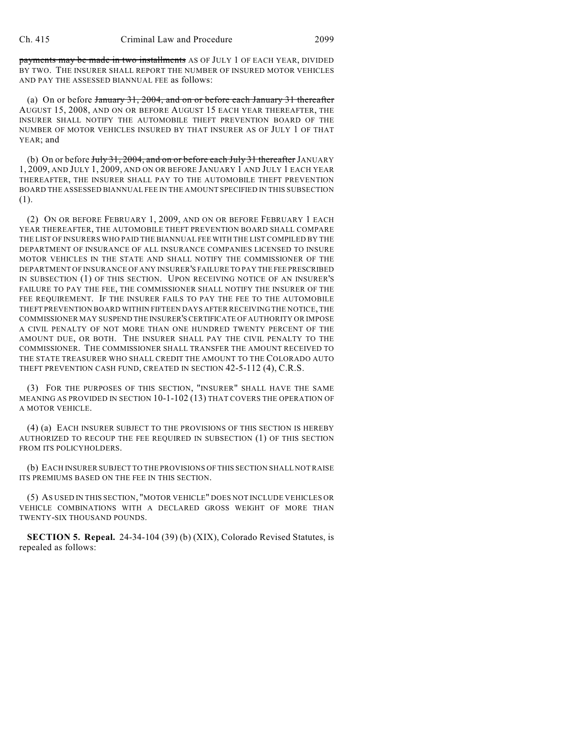payments may be made in two installments AS OF JULY 1 OF EACH YEAR, DIVIDED BY TWO. THE INSURER SHALL REPORT THE NUMBER OF INSURED MOTOR VEHICLES AND PAY THE ASSESSED BIANNUAL FEE as follows:

(a) On or before January 31, 2004, and on or before each January 31 thereafter AUGUST 15, 2008, AND ON OR BEFORE AUGUST 15 EACH YEAR THEREAFTER, THE INSURER SHALL NOTIFY THE AUTOMOBILE THEFT PREVENTION BOARD OF THE NUMBER OF MOTOR VEHICLES INSURED BY THAT INSURER AS OF JULY 1 OF THAT YEAR; and

(b) On or before July 31, 2004, and on or before each July 31 thereafter JANUARY 1, 2009, AND JULY 1, 2009, AND ON OR BEFORE JANUARY 1 AND JULY 1 EACH YEAR THEREAFTER, THE INSURER SHALL PAY TO THE AUTOMOBILE THEFT PREVENTION BOARD THE ASSESSED BIANNUAL FEE IN THE AMOUNT SPECIFIED IN THIS SUBSECTION (1).

(2) ON OR BEFORE FEBRUARY 1, 2009, AND ON OR BEFORE FEBRUARY 1 EACH YEAR THEREAFTER, THE AUTOMOBILE THEFT PREVENTION BOARD SHALL COMPARE THE LIST OF INSURERS WHO PAID THE BIANNUAL FEE WITH THE LIST COMPILED BY THE DEPARTMENT OF INSURANCE OF ALL INSURANCE COMPANIES LICENSED TO INSURE MOTOR VEHICLES IN THE STATE AND SHALL NOTIFY THE COMMISSIONER OF THE DEPARTMENT OF INSURANCE OF ANY INSURER'S FAILURE TO PAY THE FEE PRESCRIBED IN SUBSECTION (1) OF THIS SECTION. UPON RECEIVING NOTICE OF AN INSURER'S FAILURE TO PAY THE FEE, THE COMMISSIONER SHALL NOTIFY THE INSURER OF THE FEE REQUIREMENT. IF THE INSURER FAILS TO PAY THE FEE TO THE AUTOMOBILE THEFT PREVENTION BOARD WITHIN FIFTEEN DAYS AFTER RECEIVING THE NOTICE, THE COMMISSIONER MAY SUSPEND THE INSURER'S CERTIFICATE OF AUTHORITY OR IMPOSE A CIVIL PENALTY OF NOT MORE THAN ONE HUNDRED TWENTY PERCENT OF THE AMOUNT DUE, OR BOTH. THE INSURER SHALL PAY THE CIVIL PENALTY TO THE COMMISSIONER. THE COMMISSIONER SHALL TRANSFER THE AMOUNT RECEIVED TO THE STATE TREASURER WHO SHALL CREDIT THE AMOUNT TO THE COLORADO AUTO THEFT PREVENTION CASH FUND, CREATED IN SECTION 42-5-112 (4), C.R.S.

(3) FOR THE PURPOSES OF THIS SECTION, "INSURER" SHALL HAVE THE SAME MEANING AS PROVIDED IN SECTION 10-1-102 (13) THAT COVERS THE OPERATION OF A MOTOR VEHICLE.

(4) (a) EACH INSURER SUBJECT TO THE PROVISIONS OF THIS SECTION IS HEREBY AUTHORIZED TO RECOUP THE FEE REQUIRED IN SUBSECTION (1) OF THIS SECTION FROM ITS POLICYHOLDERS.

(b) EACH INSURER SUBJECT TO THE PROVISIONS OF THIS SECTION SHALL NOT RAISE ITS PREMIUMS BASED ON THE FEE IN THIS SECTION.

(5) AS USED IN THIS SECTION, "MOTOR VEHICLE" DOES NOT INCLUDE VEHICLES OR VEHICLE COMBINATIONS WITH A DECLARED GROSS WEIGHT OF MORE THAN TWENTY-SIX THOUSAND POUNDS.

**SECTION 5. Repeal.** 24-34-104 (39) (b) (XIX), Colorado Revised Statutes, is repealed as follows: